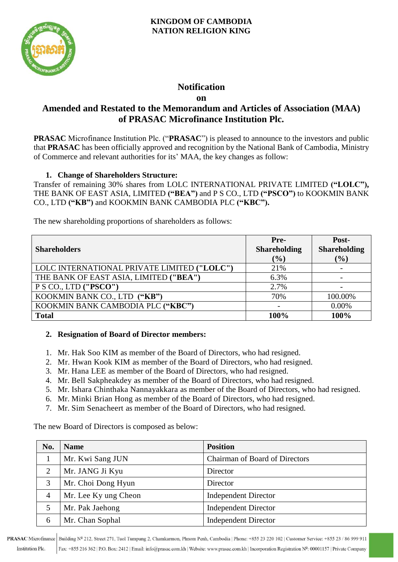

## **Notification**

**on**

## **Amended and Restated to the Memorandum and Articles of Association (MAA) of PRASAC Microfinance Institution Plc.**

**PRASAC** Microfinance Institution Plc. ("**PRASAC**") is pleased to announce to the investors and public that **PRASAC** has been officially approved and recognition by the National Bank of Cambodia, Ministry of Commerce and relevant authorities for its' MAA, the key changes as follow:

## **1. Change of Shareholders Structure:**

Transfer of remaining 30% shares from LOLC INTERNATIONAL PRIVATE LIMITED **("LOLC"),** THE BANK OF EAST ASIA, LIMITED **("BEA")** and P S CO., LTD **("PSCO")** to KOOKMIN BANK CO., LTD **("KB")** and KOOKMIN BANK CAMBODIA PLC **("KBC").**

The new shareholding proportions of shareholders as follows:

|                                             | Pre-                | Post-               |
|---------------------------------------------|---------------------|---------------------|
| <b>Shareholders</b>                         | <b>Shareholding</b> | <b>Shareholding</b> |
|                                             | $(\%)$              | $(\%)$              |
| LOLC INTERNATIONAL PRIVATE LIMITED ("LOLC") | 21%                 |                     |
| THE BANK OF EAST ASIA, LIMITED ("BEA")      | 6.3%                |                     |
| P S CO., LTD ("PSCO")                       | 2.7%                |                     |
| KOOKMIN BANK CO., LTD ("KB")                | 70%                 | 100.00%             |
| KOOKMIN BANK CAMBODIA PLC ("KBC")           |                     | 0.00%               |
| <b>Total</b>                                | 100%                | 100%                |

## **2. Resignation of Board of Director members:**

- 1. Mr. Hak Soo KIM as member of the Board of Directors, who had resigned.
- 2. Mr. Hwan Kook KIM as member of the Board of Directors, who had resigned.
- 3. Mr. Hana LEE as member of the Board of Directors, who had resigned.
- 4. Mr. Bell Sakpheakdey as member of the Board of Directors, who had resigned.
- 5. Mr. Ishara Chinthaka Nannayakkara as member of the Board of Directors, who had resigned.
- 6. Mr. Minki Brian Hong as member of the Board of Directors, who had resigned.
- 7. Mr. Sim Senacheert as member of the Board of Directors, who had resigned.

The new Board of Directors is composed as below:

| No.            | <b>Name</b>          | <b>Position</b>                       |
|----------------|----------------------|---------------------------------------|
|                | Mr. Kwi Sang JUN     | <b>Chairman of Board of Directors</b> |
| 2              | Mr. JANG Ji Kyu      | Director                              |
| 3              | Mr. Choi Dong Hyun   | Director                              |
| $\overline{4}$ | Mr. Lee Ky ung Cheon | <b>Independent Director</b>           |
|                | Mr. Pak Jaehong      | <b>Independent Director</b>           |
| 6              | Mr. Chan Sophal      | <b>Independent Director</b>           |

PRASAC Microfinance Building Nº 212, Street 271, Tuol Tumpung 2, Chamkarmon, Phnom Penh, Cambodia | Phone: +855 23 220 102 | Customer Service: +855 23 / 86 999 911 Fax: +855 216 362 | P.O. Box: 2412 | Email: info@prasac.com.kh | Website: www.prasac.com.kh | Incorporation Registration Nº: 00001157 | Private Company **Institution Plc.**